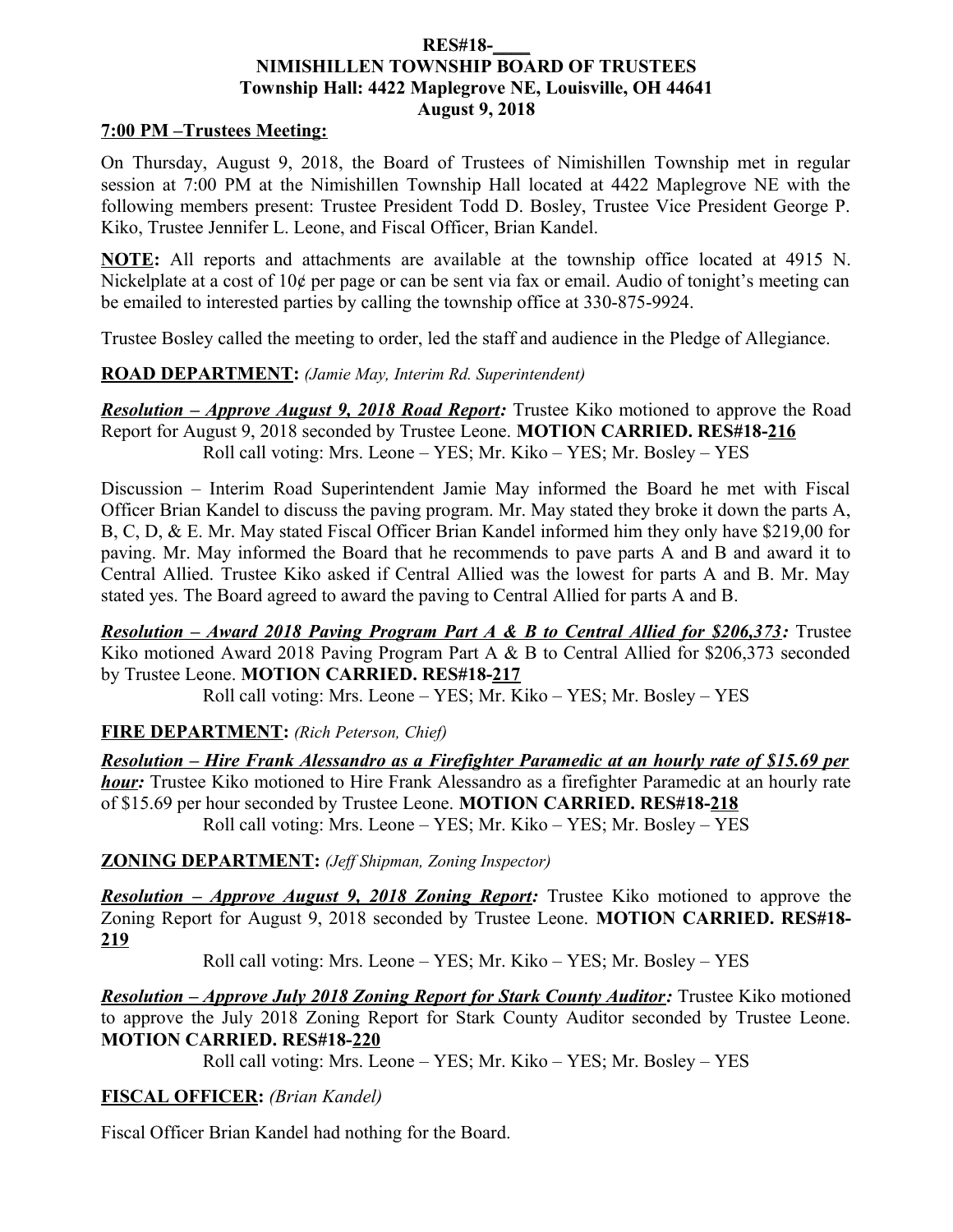#### **RES#18-\_\_\_\_ NIMISHILLEN TOWNSHIP BOARD OF TRUSTEES Township Hall: 4422 Maplegrove NE, Louisville, OH 44641 August 9, 2018**

### **7:00 PM –Trustees Meeting:**

On Thursday, August 9, 2018, the Board of Trustees of Nimishillen Township met in regular session at 7:00 PM at the Nimishillen Township Hall located at 4422 Maplegrove NE with the following members present: Trustee President Todd D. Bosley, Trustee Vice President George P. Kiko, Trustee Jennifer L. Leone, and Fiscal Officer, Brian Kandel.

**NOTE:** All reports and attachments are available at the township office located at 4915 N. Nickelplate at a cost of 10¢ per page or can be sent via fax or email. Audio of tonight's meeting can be emailed to interested parties by calling the township office at 330-875-9924.

Trustee Bosley called the meeting to order, led the staff and audience in the Pledge of Allegiance.

#### **ROAD DEPARTMENT:** *(Jamie May, Interim Rd. Superintendent)*

*Resolution – Approve August 9, 2018 Road Report:* Trustee Kiko motioned to approve the Road Report for August 9, 2018 seconded by Trustee Leone. **MOTION CARRIED. RES#18-216** Roll call voting: Mrs. Leone – YES; Mr. Kiko – YES; Mr. Bosley – YES

Discussion – Interim Road Superintendent Jamie May informed the Board he met with Fiscal Officer Brian Kandel to discuss the paving program. Mr. May stated they broke it down the parts A, B, C, D, & E. Mr. May stated Fiscal Officer Brian Kandel informed him they only have \$219,00 for paving. Mr. May informed the Board that he recommends to pave parts A and B and award it to Central Allied. Trustee Kiko asked if Central Allied was the lowest for parts A and B. Mr. May stated yes. The Board agreed to award the paving to Central Allied for parts A and B.

*Resolution – Award 2018 Paving Program Part A & B to Central Allied for \$206,373:* Trustee Kiko motioned Award 2018 Paving Program Part A & B to Central Allied for \$206,373 seconded by Trustee Leone. **MOTION CARRIED. RES#18-217**

Roll call voting: Mrs. Leone – YES; Mr. Kiko – YES; Mr. Bosley – YES

### **FIRE DEPARTMENT:** *(Rich Peterson, Chief)*

*Resolution – Hire Frank Alessandro as a Firefighter Paramedic at an hourly rate of \$15.69 per hour*: Trustee Kiko motioned to Hire Frank Alessandro as a firefighter Paramedic at an hourly rate of \$15.69 per hour seconded by Trustee Leone. **MOTION CARRIED. RES#18-218** Roll call voting: Mrs. Leone – YES; Mr. Kiko – YES; Mr. Bosley – YES

### **ZONING DEPARTMENT:** *(Jeff Shipman, Zoning Inspector)*

*Resolution – Approve August 9, 2018 Zoning Report:* Trustee Kiko motioned to approve the Zoning Report for August 9, 2018 seconded by Trustee Leone. **MOTION CARRIED. RES#18- 219**

Roll call voting: Mrs. Leone – YES; Mr. Kiko – YES; Mr. Bosley – YES

*Resolution – Approve July 2018 Zoning Report for Stark County Auditor:* Trustee Kiko motioned to approve the July 2018 Zoning Report for Stark County Auditor seconded by Trustee Leone. **MOTION CARRIED. RES#18-220**

Roll call voting: Mrs. Leone – YES; Mr. Kiko – YES; Mr. Bosley – YES

### **FISCAL OFFICER:** *(Brian Kandel)*

Fiscal Officer Brian Kandel had nothing for the Board.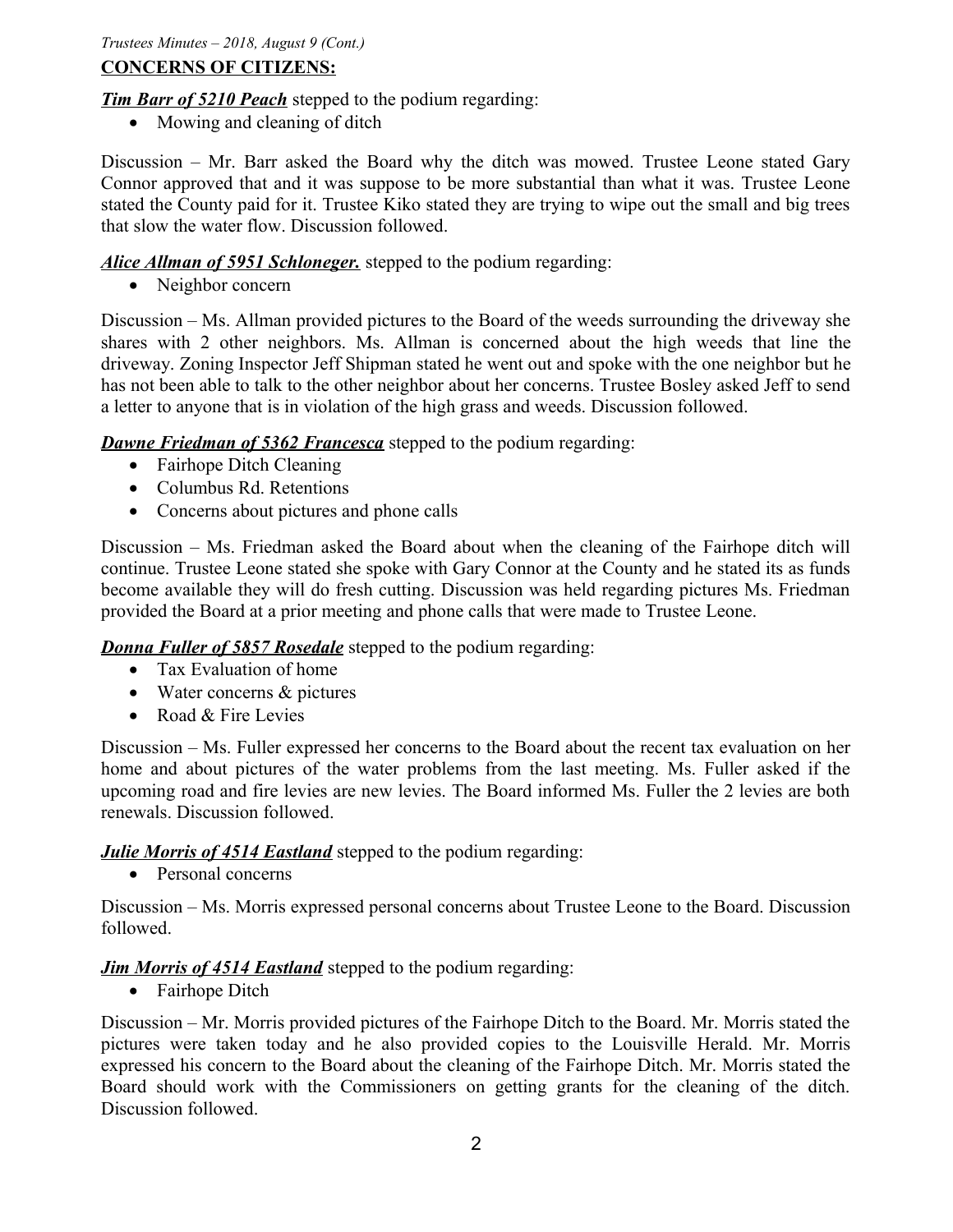# **CONCERNS OF CITIZENS:**

*Tim Barr of 5210 Peach* stepped to the podium regarding:

• Mowing and cleaning of ditch

Discussion – Mr. Barr asked the Board why the ditch was mowed. Trustee Leone stated Gary Connor approved that and it was suppose to be more substantial than what it was. Trustee Leone stated the County paid for it. Trustee Kiko stated they are trying to wipe out the small and big trees that slow the water flow. Discussion followed.

*Alice Allman of 5951 Schloneger.* stepped to the podium regarding:

• Neighbor concern

Discussion – Ms. Allman provided pictures to the Board of the weeds surrounding the driveway she shares with 2 other neighbors. Ms. Allman is concerned about the high weeds that line the driveway. Zoning Inspector Jeff Shipman stated he went out and spoke with the one neighbor but he has not been able to talk to the other neighbor about her concerns. Trustee Bosley asked Jeff to send a letter to anyone that is in violation of the high grass and weeds. Discussion followed.

### *Dawne Friedman of 5362 Francesca* stepped to the podium regarding:

- Fairhope Ditch Cleaning
- Columbus Rd. Retentions
- Concerns about pictures and phone calls

Discussion – Ms. Friedman asked the Board about when the cleaning of the Fairhope ditch will continue. Trustee Leone stated she spoke with Gary Connor at the County and he stated its as funds become available they will do fresh cutting. Discussion was held regarding pictures Ms. Friedman provided the Board at a prior meeting and phone calls that were made to Trustee Leone.

## *Donna Fuller of 5857 Rosedale* stepped to the podium regarding:

- Tax Evaluation of home
- Water concerns & pictures
- Road  $&$  Fire Levies

Discussion – Ms. Fuller expressed her concerns to the Board about the recent tax evaluation on her home and about pictures of the water problems from the last meeting. Ms. Fuller asked if the upcoming road and fire levies are new levies. The Board informed Ms. Fuller the 2 levies are both renewals. Discussion followed.

*Julie Morris of 4514 Eastland* stepped to the podium regarding:

• Personal concerns

Discussion – Ms. Morris expressed personal concerns about Trustee Leone to the Board. Discussion followed.

## *Jim Morris of 4514 Eastland* stepped to the podium regarding:

• Fairhope Ditch

Discussion – Mr. Morris provided pictures of the Fairhope Ditch to the Board. Mr. Morris stated the pictures were taken today and he also provided copies to the Louisville Herald. Mr. Morris expressed his concern to the Board about the cleaning of the Fairhope Ditch. Mr. Morris stated the Board should work with the Commissioners on getting grants for the cleaning of the ditch. Discussion followed.